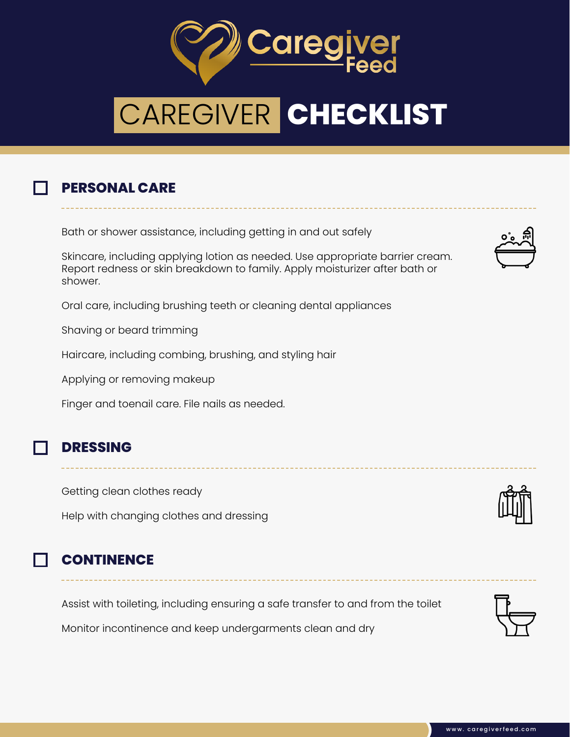

# CAREGIVER **CHECKLIST**

### **PERSONAL CARE**

Bath or shower assistance, including getting in and out safely

Skincare, including applying lotion as needed. Use appropriate barrier cream. Report redness or skin breakdown to family. Apply moisturizer after bath or shower.

Oral care, including brushing teeth or cleaning dental appliances

Shaving or beard trimming

Haircare, including combing, brushing, and styling hair

Applying or removing makeup

Finger and toenail care. File nails as needed.

#### **DRESSING**

Getting clean clothes ready

Help with changing clothes and dressing

#### **CONTINENCE**

Assist with toileting, including ensuring a safe transfer to and from the toilet

Monitor incontinence and keep undergarments clean and dry





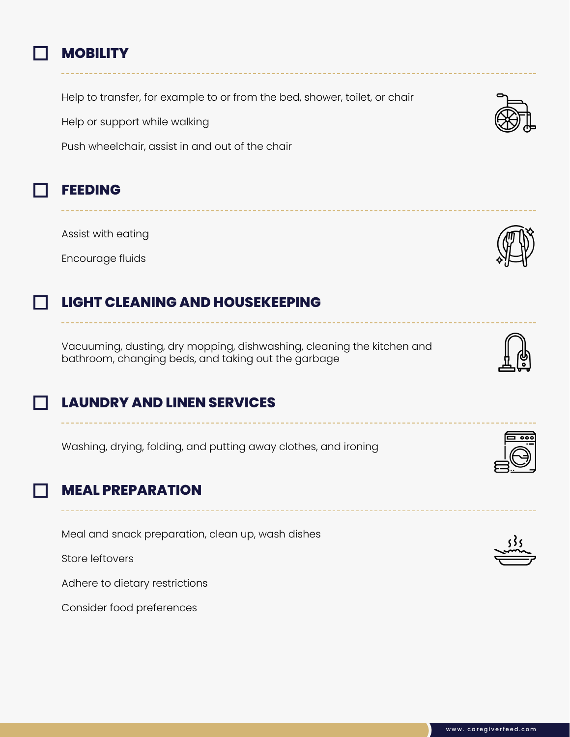

#### **MOBILITY**

Help to transfer, for example to or from the bed, shower, toilet, or chair

Help or support while walking

Push wheelchair, assist in and out of the chair

#### **FEEDING**

Assist with eating

Encourage fluids

# **LIGHT CLEANING AND HOUSEKEEPING**

Vacuuming, dusting, dry mopping, dishwashing, cleaning the kitchen and bathroom, changing beds, and taking out the garbage

# **LAUNDRY AND LINEN SERVICES**

Washing, drying, folding, and putting away clothes, and ironing

# **MEAL PREPARATION**

Meal and snack preparation, clean up, wash dishes

Store leftovers

Adhere to dietary restrictions

Consider food preferences







---------------

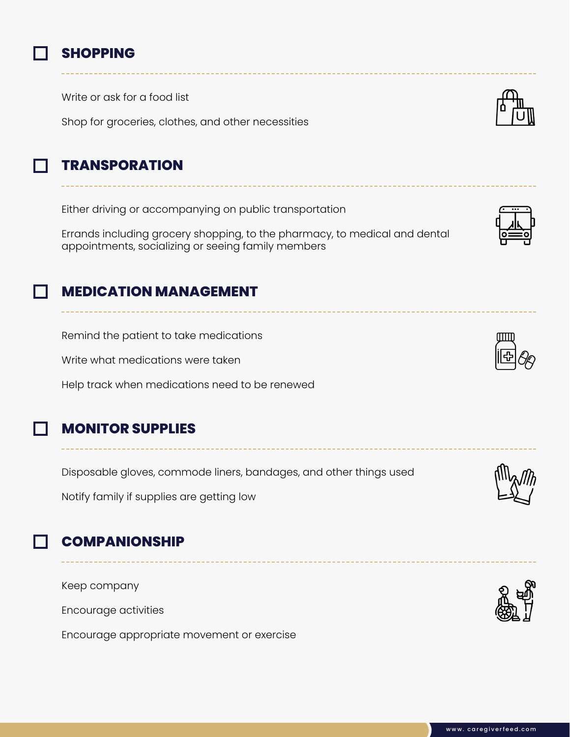

#### **SHOPPING**

Write or ask for a food list

Shop for groceries, clothes, and other necessities



# **TRANSPORATION**

Either driving or accompanying on public transportation

Errands including grocery shopping, to the pharmacy, to medical and dental appointments, socializing or seeing family members



# **MEDICATION MANAGEMENT**

Remind the patient to take medications

Write what medications were taken

Help track when medications need to be renewed

# **MONITOR SUPPLIES**

Disposable gloves, commode liners, bandages, and other things used

Notify family if supplies are getting low

# **COMPANIONSHIP**

Keep company

Encourage activities

Encourage appropriate movement or exercise